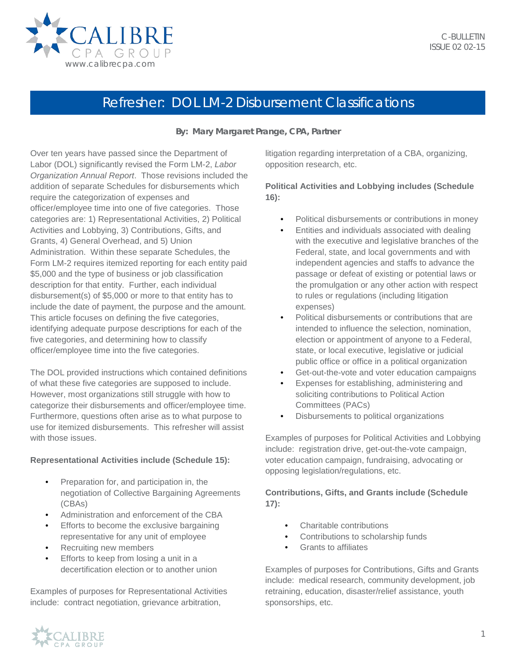

# Refresher: DOL LM-2 Disbursement Classifications

## **By: Mary Margaret Prange, CPA, Partner**

Over ten years have passed since the Department of Labor (DOL) significantly revised the Form LM-2, *Labor Organization Annual Report*. Those revisions included the addition of separate Schedules for disbursements which require the categorization of expenses and officer/employee time into one of five categories. Those categories are: 1) Representational Activities, 2) Political Activities and Lobbying, 3) Contributions, Gifts, and Grants, 4) General Overhead, and 5) Union Administration. Within these separate Schedules, the Form LM-2 requires itemized reporting for each entity paid \$5,000 and the type of business or job classification description for that entity. Further, each individual disbursement(s) of \$5,000 or more to that entity has to include the date of payment, the purpose and the amount. This article focuses on defining the five categories, identifying adequate purpose descriptions for each of the five categories, and determining how to classify officer/employee time into the five categories.

The DOL provided instructions which contained definitions of what these five categories are supposed to include. However, most organizations still struggle with how to categorize their disbursements and officer/employee time. Furthermore, questions often arise as to what purpose to use for itemized disbursements. This refresher will assist with those issues

#### **Representational Activities include (Schedule 15):**

- Preparation for, and participation in, the negotiation of Collective Bargaining Agreements (CBAs)
- Administration and enforcement of the CBA
- Efforts to become the exclusive bargaining representative for any unit of employee
- Recruiting new members
- Efforts to keep from losing a unit in a decertification election or to another union

Examples of purposes for Representational Activities include: contract negotiation, grievance arbitration,

litigation regarding interpretation of a CBA, organizing, opposition research, etc.

## **Political Activities and Lobbying includes (Schedule 16):**

- Political disbursements or contributions in money
- Entities and individuals associated with dealing with the executive and legislative branches of the Federal, state, and local governments and with independent agencies and staffs to advance the passage or defeat of existing or potential laws or the promulgation or any other action with respect to rules or regulations (including litigation expenses)
- Political disbursements or contributions that are intended to influence the selection, nomination, election or appointment of anyone to a Federal, state, or local executive, legislative or judicial public office or office in a political organization
- Get-out-the-vote and voter education campaigns
- Expenses for establishing, administering and soliciting contributions to Political Action Committees (PACs)
- Disbursements to political organizations

Examples of purposes for Political Activities and Lobbying include: registration drive, get-out-the-vote campaign, voter education campaign, fundraising, advocating or opposing legislation/regulations, etc.

## **Contributions, Gifts, and Grants include (Schedule 17):**

- Charitable contributions
- Contributions to scholarship funds
- Grants to affiliates

Examples of purposes for Contributions, Gifts and Grants include: medical research, community development, job retraining, education, disaster/relief assistance, youth sponsorships, etc.